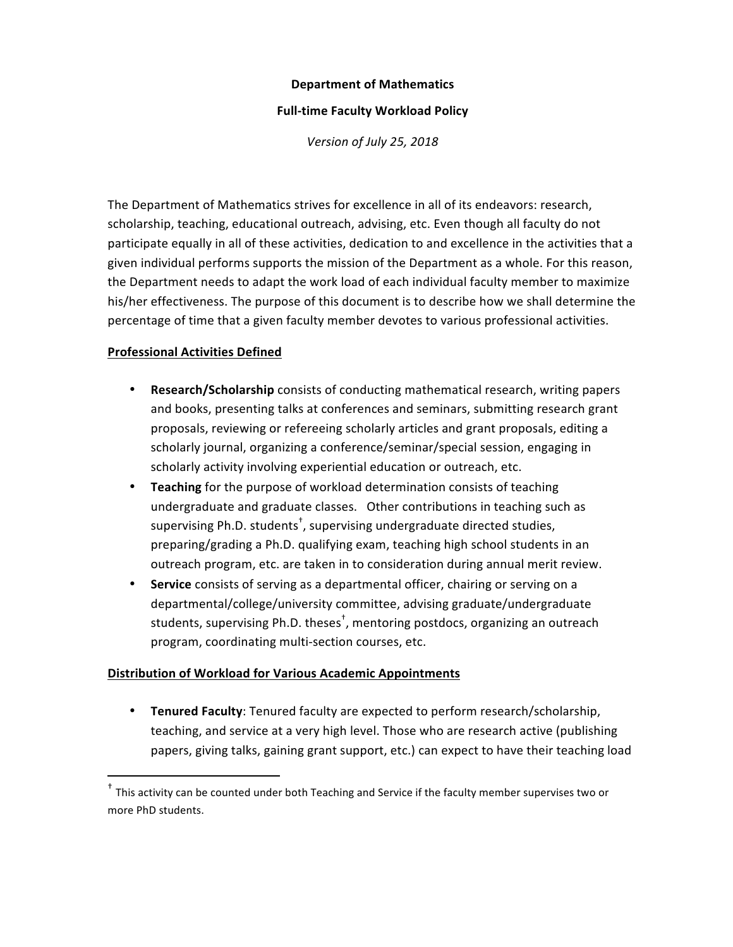#### **Department of Mathematics**

#### **Full-time Faculty Workload Policy**

*Version of July 25, 2018*

The Department of Mathematics strives for excellence in all of its endeavors: research, scholarship, teaching, educational outreach, advising, etc. Even though all faculty do not participate equally in all of these activities, dedication to and excellence in the activities that a given individual performs supports the mission of the Department as a whole. For this reason, the Department needs to adapt the work load of each individual faculty member to maximize his/her effectiveness. The purpose of this document is to describe how we shall determine the percentage of time that a given faculty member devotes to various professional activities.

# **Professional Activities Defined**

 

- **Research/Scholarship** consists of conducting mathematical research, writing papers and books, presenting talks at conferences and seminars, submitting research grant proposals, reviewing or refereeing scholarly articles and grant proposals, editing a scholarly journal, organizing a conference/seminar/special session, engaging in scholarly activity involving experiential education or outreach, etc.
- Teaching for the purpose of workload determination consists of teaching undergraduate and graduate classes. Other contributions in teaching such as supervising Ph.D. students<sup>+</sup>, supervising undergraduate directed studies, preparing/grading a Ph.D. qualifying exam, teaching high school students in an outreach program, etc. are taken in to consideration during annual merit review.
- Service consists of serving as a departmental officer, chairing or serving on a departmental/college/university committee, advising graduate/undergraduate students, supervising Ph.D. theses<sup>†</sup>, mentoring postdocs, organizing an outreach program, coordinating multi-section courses, etc.

### **Distribution of Workload for Various Academic Appointments**

• **Tenured Faculty**: Tenured faculty are expected to perform research/scholarship, teaching, and service at a very high level. Those who are research active (publishing papers, giving talks, gaining grant support, etc.) can expect to have their teaching load

 $^{\dagger}$  This activity can be counted under both Teaching and Service if the faculty member supervises two or more PhD students.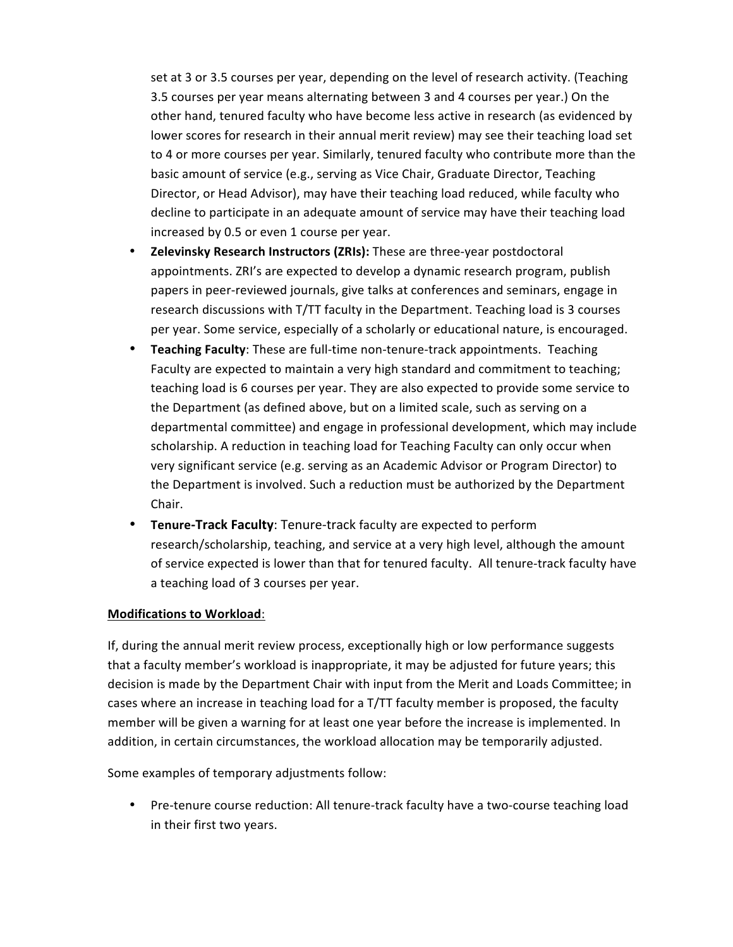set at 3 or 3.5 courses per year, depending on the level of research activity. (Teaching 3.5 courses per year means alternating between 3 and 4 courses per year.) On the other hand, tenured faculty who have become less active in research (as evidenced by lower scores for research in their annual merit review) may see their teaching load set to 4 or more courses per year. Similarly, tenured faculty who contribute more than the basic amount of service (e.g., serving as Vice Chair, Graduate Director, Teaching Director, or Head Advisor), may have their teaching load reduced, while faculty who decline to participate in an adequate amount of service may have their teaching load increased by 0.5 or even 1 course per year.

- **Zelevinsky Research Instructors (ZRIs):** These are three-year postdoctoral appointments. ZRI's are expected to develop a dynamic research program, publish papers in peer-reviewed journals, give talks at conferences and seminars, engage in research discussions with T/TT faculty in the Department. Teaching load is 3 courses per year. Some service, especially of a scholarly or educational nature, is encouraged.
- **Teaching Faculty**: These are full-time non-tenure-track appointments. Teaching Faculty are expected to maintain a very high standard and commitment to teaching; teaching load is 6 courses per year. They are also expected to provide some service to the Department (as defined above, but on a limited scale, such as serving on a departmental committee) and engage in professional development, which may include scholarship. A reduction in teaching load for Teaching Faculty can only occur when very significant service (e.g. serving as an Academic Advisor or Program Director) to the Department is involved. Such a reduction must be authorized by the Department Chair.
- Tenure-Track Faculty: Tenure-track faculty are expected to perform research/scholarship, teaching, and service at a very high level, although the amount of service expected is lower than that for tenured faculty. All tenure-track faculty have a teaching load of 3 courses per year.

### **Modifications to Workload:**

If, during the annual merit review process, exceptionally high or low performance suggests that a faculty member's workload is inappropriate, it may be adjusted for future years; this decision is made by the Department Chair with input from the Merit and Loads Committee; in cases where an increase in teaching load for a T/TT faculty member is proposed, the faculty member will be given a warning for at least one year before the increase is implemented. In addition, in certain circumstances, the workload allocation may be temporarily adjusted.

Some examples of temporary adjustments follow:

• Pre-tenure course reduction: All tenure-track faculty have a two-course teaching load in their first two years.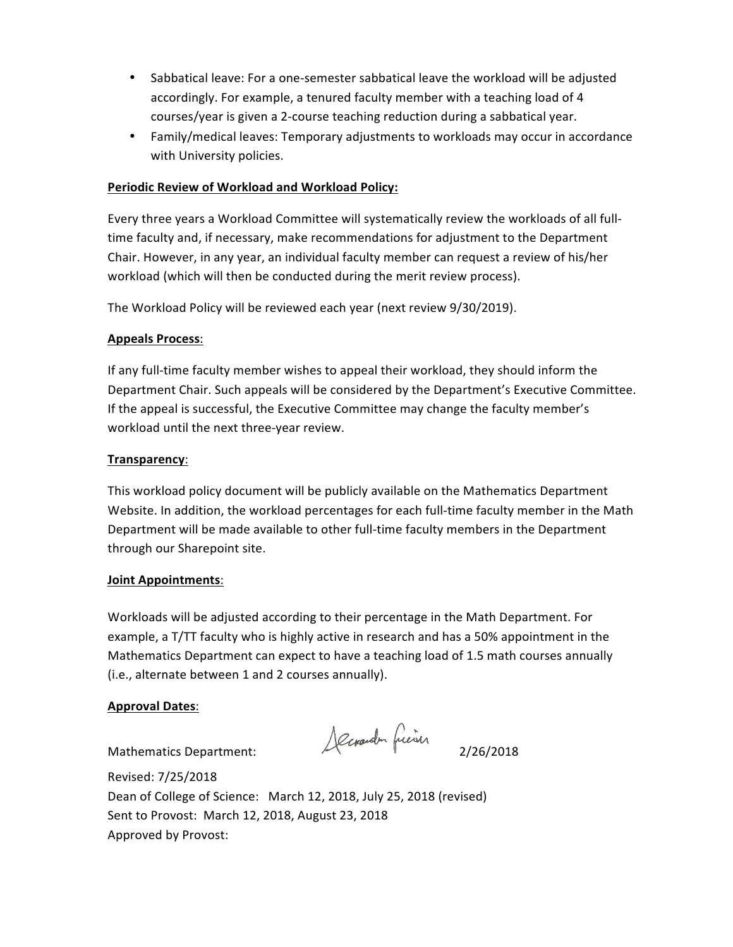- Sabbatical leave: For a one-semester sabbatical leave the workload will be adjusted accordingly. For example, a tenured faculty member with a teaching load of 4 courses/year is given a 2-course teaching reduction during a sabbatical year.
- Family/medical leaves: Temporary adjustments to workloads may occur in accordance with University policies.

### **Periodic Review of Workload and Workload Policy:**

Every three years a Workload Committee will systematically review the workloads of all fulltime faculty and, if necessary, make recommendations for adjustment to the Department Chair. However, in any year, an individual faculty member can request a review of his/her workload (which will then be conducted during the merit review process).

The Workload Policy will be reviewed each year (next review 9/30/2019).

### **Appeals Process**:

If any full-time faculty member wishes to appeal their workload, they should inform the Department Chair. Such appeals will be considered by the Department's Executive Committee. If the appeal is successful, the Executive Committee may change the faculty member's workload until the next three-year review.

### **Transparency**:

This workload policy document will be publicly available on the Mathematics Department Website. In addition, the workload percentages for each full-time faculty member in the Math Department will be made available to other full-time faculty members in the Department through our Sharepoint site.

### **Joint Appointments**:

Workloads will be adjusted according to their percentage in the Math Department. For example, a T/TT faculty who is highly active in research and has a 50% appointment in the Mathematics Department can expect to have a teaching load of 1.5 math courses annually (i.e., alternate between 1 and 2 courses annually).

### **Approval Dates**:

Mathematics Department: 2/26/2018

Revised: 7/25/2018 Dean of College of Science: March 12, 2018, July 25, 2018 (revised) Sent to Provost: March 12, 2018, August 23, 2018 Approved by Provost: